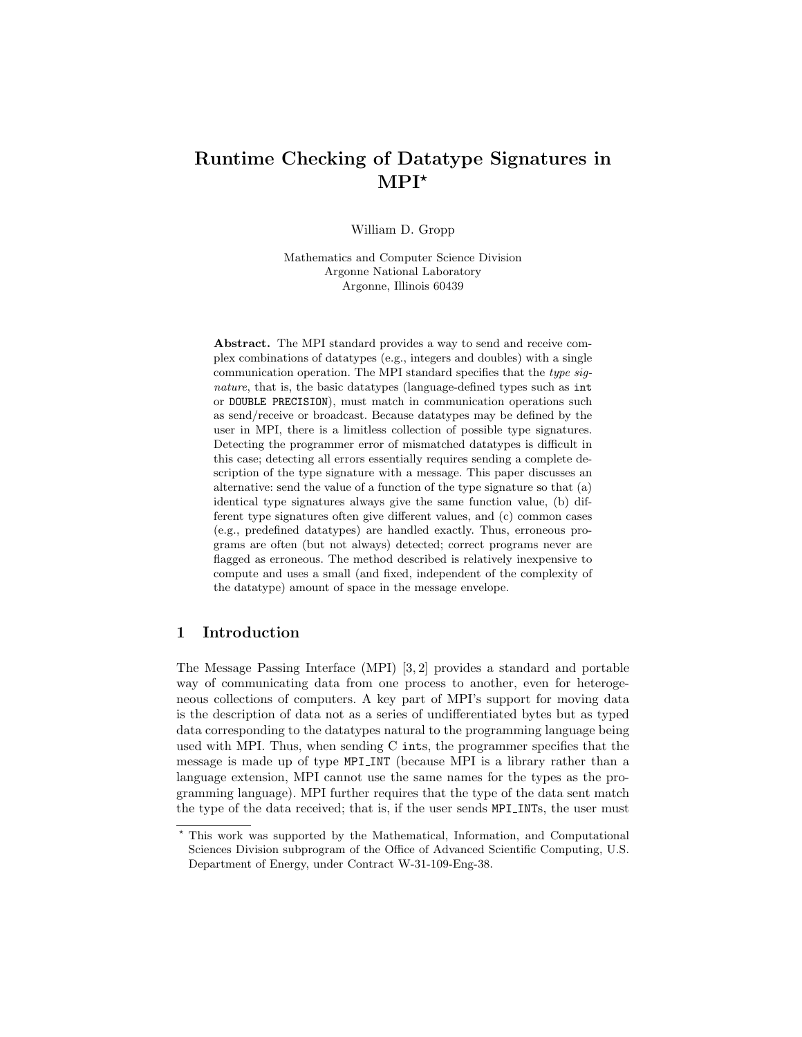# **Runtime Checking of Datatype Signatures in MPI***<sup>⋆</sup>*

William D. Gropp

Mathematics and Computer Science Division Argonne National Laboratory Argonne, Illinois 60439

**Abstract.** The MPI standard provides a way to send and receive complex combinations of datatypes (e.g., integers and doubles) with a single communication operation. The MPI standard specifies that the *type signature*, that is, the basic datatypes (language-defined types such as int or DOUBLE PRECISION), must match in communication operations such as send/receive or broadcast. Because datatypes may be defined by the user in MPI, there is a limitless collection of possible type signatures. Detecting the programmer error of mismatched datatypes is difficult in this case; detecting all errors essentially requires sending a complete description of the type signature with a message. This paper discusses an alternative: send the value of a function of the type signature so that (a) identical type signatures always give the same function value, (b) different type signatures often give different values, and (c) common cases (e.g., predefined datatypes) are handled exactly. Thus, erroneous programs are often (but not always) detected; correct programs never are flagged as erroneous. The method described is relatively inexpensive to compute and uses a small (and fixed, independent of the complexity of the datatype) amount of space in the message envelope.

## **1 Introduction**

The Message Passing Interface (MPI) [3, 2] provides a standard and portable way of communicating data from one process to another, even for heterogeneous collections of computers. A key part of MPI's support for moving data is the description of data not as a series of undifferentiated bytes but as typed data corresponding to the datatypes natural to the programming language being used with MPI. Thus, when sending C ints, the programmer specifies that the message is made up of type MPI INT (because MPI is a library rather than a language extension, MPI cannot use the same names for the types as the programming language). MPI further requires that the type of the data sent match the type of the data received; that is, if the user sends MPI INTs, the user must

This work was supported by the Mathematical, Information, and Computational Sciences Division subprogram of the Office of Advanced Scientific Computing, U.S. Department of Energy, under Contract W-31-109-Eng-38.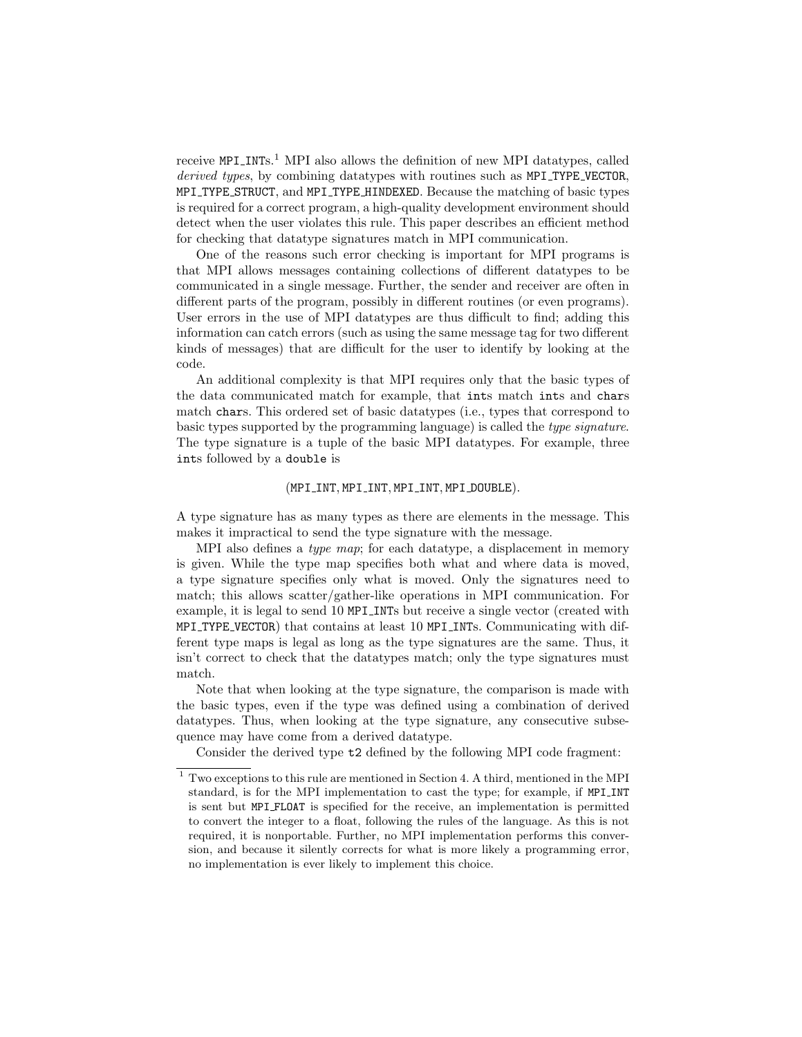receive MPI\_INTs.<sup>1</sup> MPI also allows the definition of new MPI datatypes, called *derived types*, by combining datatypes with routines such as MPI\_TYPE\_VECTOR, MPI TYPE STRUCT, and MPI TYPE HINDEXED. Because the matching of basic types is required for a correct program, a high-quality development environment should detect when the user violates this rule. This paper describes an efficient method for checking that datatype signatures match in MPI communication.

One of the reasons such error checking is important for MPI programs is that MPI allows messages containing collections of different datatypes to be communicated in a single message. Further, the sender and receiver are often in different parts of the program, possibly in different routines (or even programs). User errors in the use of MPI datatypes are thus difficult to find; adding this information can catch errors (such as using the same message tag for two different kinds of messages) that are difficult for the user to identify by looking at the code.

An additional complexity is that MPI requires only that the basic types of the data communicated match for example, that ints match ints and chars match chars. This ordered set of basic datatypes (i.e., types that correspond to basic types supported by the programming language) is called the *type signature*. The type signature is a tuple of the basic MPI datatypes. For example, three ints followed by a double is

#### (MPI INT*,* MPI INT*,* MPI INT*,* MPI DOUBLE)*.*

A type signature has as many types as there are elements in the message. This makes it impractical to send the type signature with the message.

MPI also defines a *type map*; for each datatype, a displacement in memory is given. While the type map specifies both what and where data is moved, a type signature specifies only what is moved. Only the signatures need to match; this allows scatter/gather-like operations in MPI communication. For example, it is legal to send 10 MPI INTs but receive a single vector (created with MPI TYPE VECTOR) that contains at least 10 MPI INTs. Communicating with different type maps is legal as long as the type signatures are the same. Thus, it isn't correct to check that the datatypes match; only the type signatures must match.

Note that when looking at the type signature, the comparison is made with the basic types, even if the type was defined using a combination of derived datatypes. Thus, when looking at the type signature, any consecutive subsequence may have come from a derived datatype.

Consider the derived type t2 defined by the following MPI code fragment:

<sup>1</sup> Two exceptions to this rule are mentioned in Section 4. A third, mentioned in the MPI standard, is for the MPI implementation to cast the type; for example, if MPI INT is sent but MPI FLOAT is specified for the receive, an implementation is permitted to convert the integer to a float, following the rules of the language. As this is not required, it is nonportable. Further, no MPI implementation performs this conversion, and because it silently corrects for what is more likely a programming error, no implementation is ever likely to implement this choice.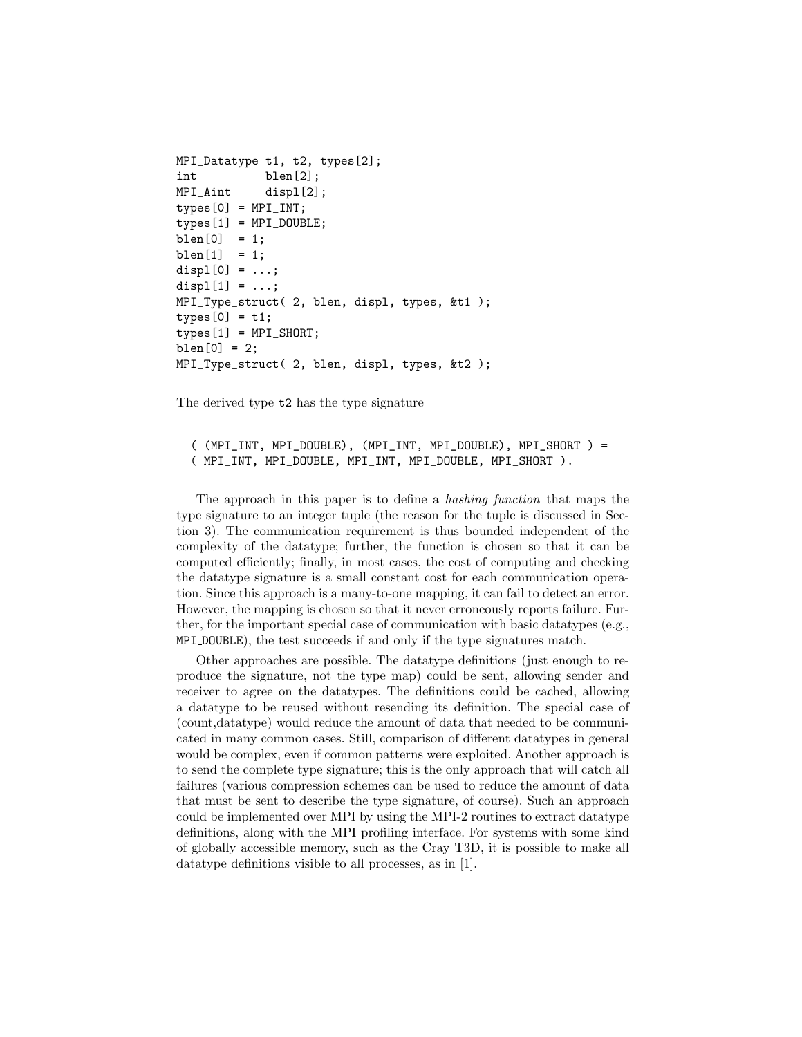```
MPI_Datatype t1, t2, types[2];
int blen[2];
MPI_Aint displ[2];
types[0] = MPI_INT;
types[1] = MPI_DOWBLE;blen[0] = 1;blen[1] = 1;
displ[0] = ...;displ[1] = ...;MPI_Type_struct( 2, blen, displ, types, &t1 );
types[0] = t1;types[1] = MPI_SHORT;blen[0] = 2;MPI_Type_struct( 2, blen, displ, types, &t2 );
```
The derived type t2 has the type signature

( (MPI\_INT, MPI\_DOUBLE), (MPI\_INT, MPI\_DOUBLE), MPI\_SHORT ) = ( MPI\_INT, MPI\_DOUBLE, MPI\_INT, MPI\_DOUBLE, MPI\_SHORT ).

The approach in this paper is to define a *hashing function* that maps the type signature to an integer tuple (the reason for the tuple is discussed in Section 3). The communication requirement is thus bounded independent of the complexity of the datatype; further, the function is chosen so that it can be computed efficiently; finally, in most cases, the cost of computing and checking the datatype signature is a small constant cost for each communication operation. Since this approach is a many-to-one mapping, it can fail to detect an error. However, the mapping is chosen so that it never erroneously reports failure. Further, for the important special case of communication with basic datatypes (e.g., MPI DOUBLE), the test succeeds if and only if the type signatures match.

Other approaches are possible. The datatype definitions (just enough to reproduce the signature, not the type map) could be sent, allowing sender and receiver to agree on the datatypes. The definitions could be cached, allowing a datatype to be reused without resending its definition. The special case of (count,datatype) would reduce the amount of data that needed to be communicated in many common cases. Still, comparison of different datatypes in general would be complex, even if common patterns were exploited. Another approach is to send the complete type signature; this is the only approach that will catch all failures (various compression schemes can be used to reduce the amount of data that must be sent to describe the type signature, of course). Such an approach could be implemented over MPI by using the MPI-2 routines to extract datatype definitions, along with the MPI profiling interface. For systems with some kind of globally accessible memory, such as the Cray T3D, it is possible to make all datatype definitions visible to all processes, as in [1].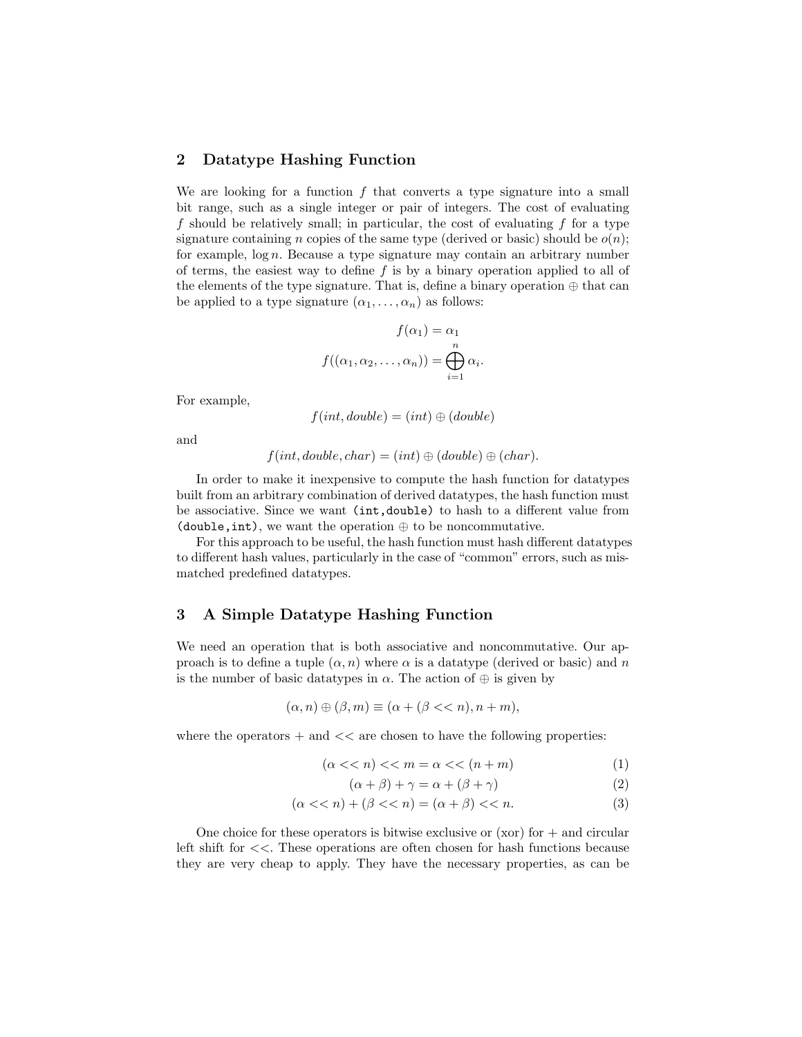## **2 Datatype Hashing Function**

We are looking for a function *f* that converts a type signature into a small bit range, such as a single integer or pair of integers. The cost of evaluating *f* should be relatively small; in particular, the cost of evaluating *f* for a type signature containing *n* copies of the same type (derived or basic) should be  $o(n)$ ; for example, log *n*. Because a type signature may contain an arbitrary number of terms, the easiest way to define *f* is by a binary operation applied to all of the elements of the type signature. That is, define a binary operation *⊕* that can be applied to a type signature  $(\alpha_1, \ldots, \alpha_n)$  as follows:

$$
f(\alpha_1) = \alpha_1
$$

$$
f((\alpha_1, \alpha_2, \dots, \alpha_n)) = \bigoplus_{i=1}^n \alpha_i
$$

*.*

For example,

$$
f(int, double) = (int) \oplus (double)
$$

and

$$
f(int, double, char) = (int) \oplus (double) \oplus (char).
$$

In order to make it inexpensive to compute the hash function for datatypes built from an arbitrary combination of derived datatypes, the hash function must be associative. Since we want (int,double) to hash to a different value from (double,int), we want the operation *⊕* to be noncommutative.

For this approach to be useful, the hash function must hash different datatypes to different hash values, particularly in the case of "common" errors, such as mismatched predefined datatypes.

## **3 A Simple Datatype Hashing Function**

We need an operation that is both associative and noncommutative. Our approach is to define a tuple  $(\alpha, n)$  where  $\alpha$  is a datatype (derived or basic) and *n* is the number of basic datatypes in  $\alpha$ . The action of  $\oplus$  is given by

$$
(\alpha, n) \oplus (\beta, m) \equiv (\alpha + (\beta << n), n + m),
$$

where the operators  $+$  and  $<<$  are chosen to have the following properties:

$$
(\alpha << n) << m = \alpha << (n+m) \tag{1}
$$

$$
(\alpha + \beta) + \gamma = \alpha + (\beta + \gamma)
$$
 (2)

$$
(\alpha \ll n) + (\beta \ll n) = (\alpha + \beta) \ll n. \tag{3}
$$

One choice for these operators is bitwise exclusive or  $(xor)$  for  $+$  and circular left shift for *<<*. These operations are often chosen for hash functions because they are very cheap to apply. They have the necessary properties, as can be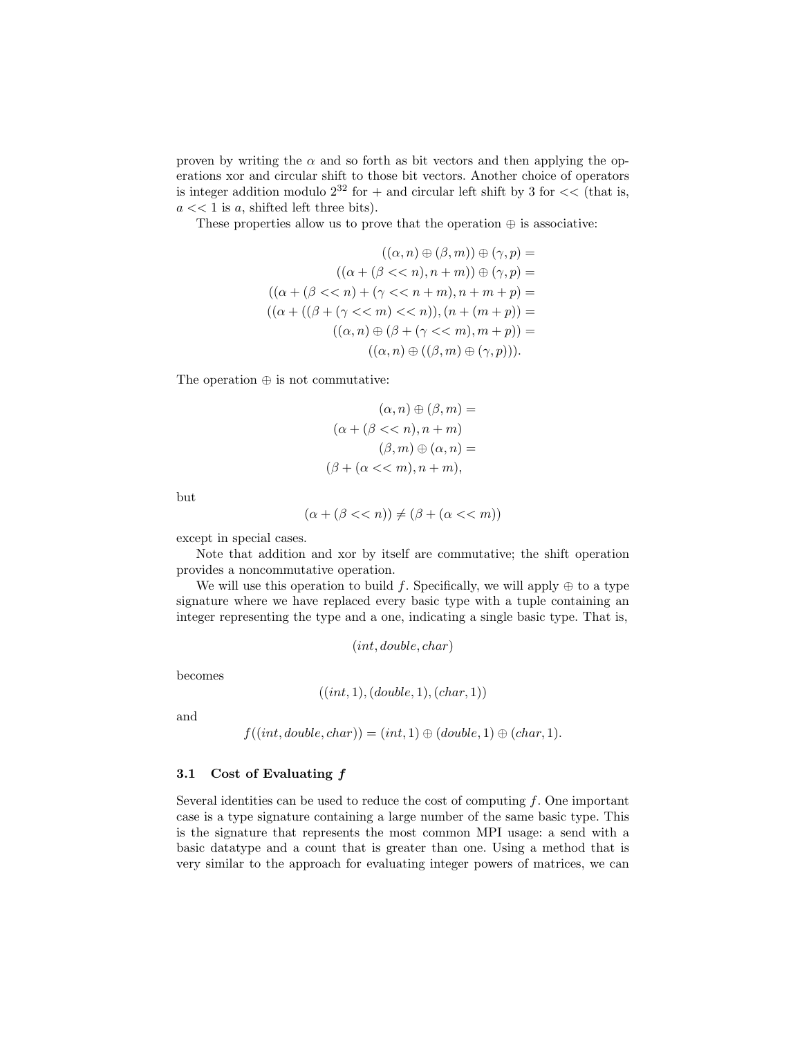proven by writing the  $\alpha$  and so forth as bit vectors and then applying the operations xor and circular shift to those bit vectors. Another choice of operators is integer addition modulo  $2^{32}$  for  $+$  and circular left shift by 3 for  $<<$  (that is,  $a \ll 1$  is  $a$ , shifted left three bits).

These properties allow us to prove that the operation *⊕* is associative:

$$
((\alpha, n) \oplus (\beta, m)) \oplus (\gamma, p) =
$$
  

$$
((\alpha + (\beta \leq n), n + m)) \oplus (\gamma, p) =
$$
  

$$
((\alpha + (\beta \leq n) + (\gamma \leq n + m), n + m + p) =
$$
  

$$
((\alpha + ((\beta + (\gamma \leq m) \leq n)), (n + (m + p)) =
$$
  

$$
((\alpha, n) \oplus (\beta + (\gamma \leq m), m + p)) =
$$
  

$$
((\alpha, n) \oplus ((\beta, m) \oplus (\gamma, p))).
$$

The operation *⊕* is not commutative:

$$
(\alpha, n) \oplus (\beta, m) =
$$

$$
(\alpha + (\beta \ll n), n + m)
$$

$$
(\beta, m) \oplus (\alpha, n) =
$$

$$
(\beta + (\alpha \ll m), n + m),
$$

but

$$
(\alpha + (\beta << n)) \neq (\beta + (\alpha << m))
$$

except in special cases.

Note that addition and xor by itself are commutative; the shift operation provides a noncommutative operation.

We will use this operation to build *f*. Specifically, we will apply  $\oplus$  to a type signature where we have replaced every basic type with a tuple containing an integer representing the type and a one, indicating a single basic type. That is,

$$
(int, double, char)
$$

becomes

$$
((int,1),\allowbreak (double,1),\allowbreak (char,1))
$$

and

 $f((int, double, char)) = (int, 1) \oplus (double, 1) \oplus (char, 1).$ 

### **3.1 Cost of Evaluating** *f*

Several identities can be used to reduce the cost of computing *f*. One important case is a type signature containing a large number of the same basic type. This is the signature that represents the most common MPI usage: a send with a basic datatype and a count that is greater than one. Using a method that is very similar to the approach for evaluating integer powers of matrices, we can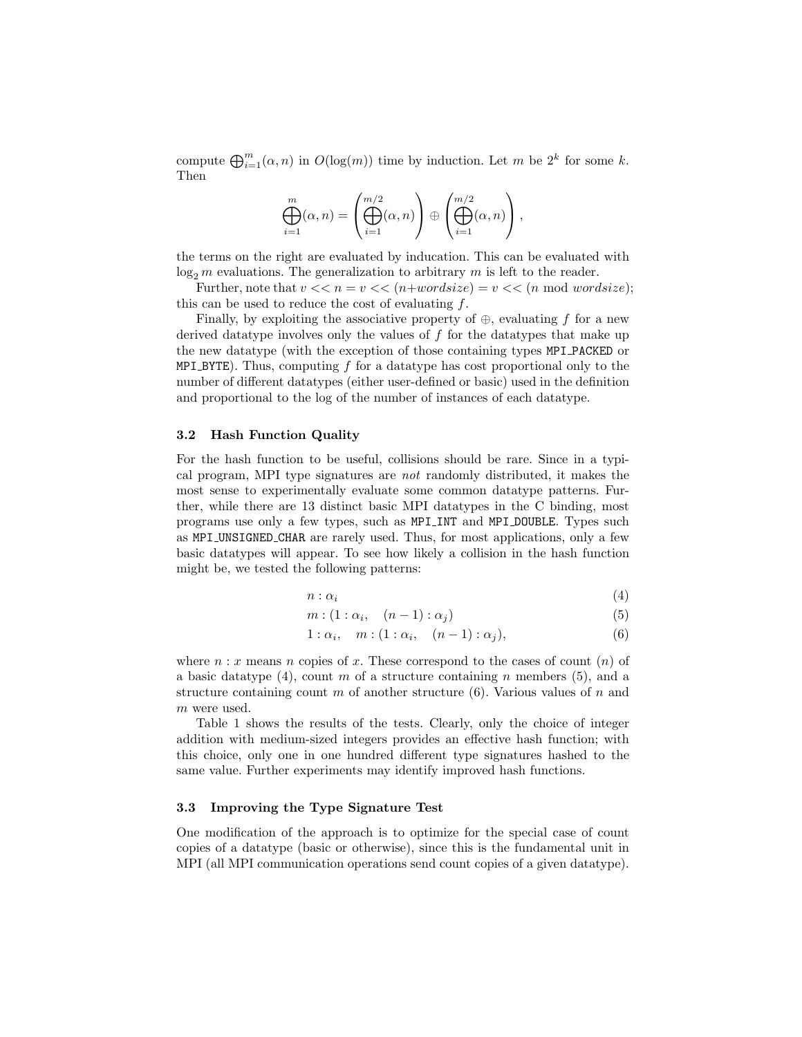compute  $\bigoplus_{i=1}^{m} (\alpha, n)$  in  $O(\log(m))$  time by induction. Let *m* be  $2^{k}$  for some *k*. Then

$$
\bigoplus_{i=1}^{m} (\alpha, n) = \left( \bigoplus_{i=1}^{m/2} (\alpha, n) \right) \oplus \left( \bigoplus_{i=1}^{m/2} (\alpha, n) \right),
$$

the terms on the right are evaluated by inducation. This can be evaluated with  $\log_2 m$  evaluations. The generalization to arbitrary *m* is left to the reader.

Further, note that  $v \ll n = v \ll (n + wordsize) = v \ll (n \mod wordsize);$ this can be used to reduce the cost of evaluating *f*.

Finally, by exploiting the associative property of *⊕*, evaluating *f* for a new derived datatype involves only the values of *f* for the datatypes that make up the new datatype (with the exception of those containing types MPI PACKED or MPI BYTE). Thus, computing *f* for a datatype has cost proportional only to the number of different datatypes (either user-defined or basic) used in the definition and proportional to the log of the number of instances of each datatype.

#### **3.2 Hash Function Quality**

For the hash function to be useful, collisions should be rare. Since in a typical program, MPI type signatures are *not* randomly distributed, it makes the most sense to experimentally evaluate some common datatype patterns. Further, while there are 13 distinct basic MPI datatypes in the C binding, most programs use only a few types, such as MPI INT and MPI DOUBLE. Types such as MPI UNSIGNED CHAR are rarely used. Thus, for most applications, only a few basic datatypes will appear. To see how likely a collision in the hash function might be, we tested the following patterns:

$$
n : \alpha_i \tag{4}
$$

$$
m: (1: \alpha_i, \quad (n-1): \alpha_j)
$$
\n
$$
(5)
$$

$$
1 : \alpha_i, \quad m : (1 : \alpha_i, \quad (n-1) : \alpha_j), \tag{6}
$$

where  $n : x$  means  $n$  copies of  $x$ . These correspond to the cases of count  $(n)$  of a basic datatype (4), count *m* of a structure containing *n* members (5), and a structure containing count *m* of another structure (6). Various values of *n* and *m* were used.

Table 1 shows the results of the tests. Clearly, only the choice of integer addition with medium-sized integers provides an effective hash function; with this choice, only one in one hundred different type signatures hashed to the same value. Further experiments may identify improved hash functions.

### **3.3 Improving the Type Signature Test**

One modification of the approach is to optimize for the special case of count copies of a datatype (basic or otherwise), since this is the fundamental unit in MPI (all MPI communication operations send count copies of a given datatype).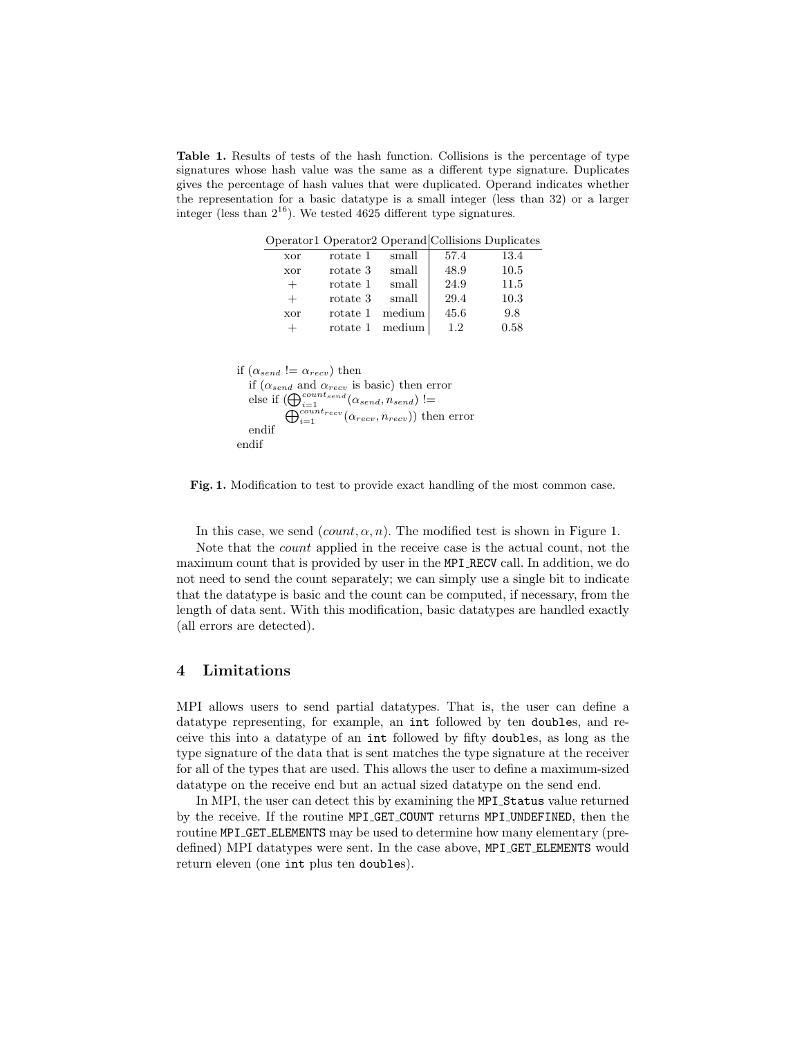**Table 1.** Results of tests of the hash function. Collisions is the percentage of type signatures whose hash value was the same as a different type signature. Duplicates gives the percentage of hash values that were duplicated. Operand indicates whether the representation for a basic datatype is a small integer (less than 32) or a larger integer (less than  $2^{16}$ ). We tested 4625 different type signatures.

|        | $\circ$ perator i $\circ$ perator $\circ$ operative combiolity Duplicated |        |      |      |
|--------|---------------------------------------------------------------------------|--------|------|------|
| xor    | rotate 1                                                                  | small  | 57.4 | 13.4 |
| xor    | rotate 3                                                                  | small  | 48.9 | 10.5 |
| $^{+}$ | rotate 1                                                                  | small  | 24.9 | 11.5 |
| $^{+}$ | rotate 3                                                                  | small  | 29.4 | 10.3 |
| xor    | rotate 1                                                                  | medium | 45.6 | 9.8  |
| $+$    | rotate 1                                                                  | medium | 1.2  | 0.58 |

Operator1 Operator2 Operand Collisions Duplicates

```
if (\alpha_{send} != \alpha_{recv}) then
     if (\alpha_{send} and \alpha_{recv} is basic) then error
      \bigoplus_{i=1}^{count_{send}}<br>
\bigoplus_{i=1}^{count_{recv}}\sum_{i=1}^{count_{send}} (\alpha_{send}, n_{send}) \geq \sum_{i=1}^{count_{recv}} (\alpha_{recv}, n_{recv})) then error
      endif
endif
```
**Fig. 1.** Modification to test to provide exact handling of the most common case.

In this case, we send  $(count, \alpha, n)$ . The modified test is shown in Figure 1.

Note that the *count* applied in the receive case is the actual count, not the maximum count that is provided by user in the MPI RECV call. In addition, we do not need to send the count separately; we can simply use a single bit to indicate that the datatype is basic and the count can be computed, if necessary, from the length of data sent. With this modification, basic datatypes are handled exactly (all errors are detected).

## **4 Limitations**

MPI allows users to send partial datatypes. That is, the user can define a datatype representing, for example, an int followed by ten doubles, and receive this into a datatype of an int followed by fifty doubles, as long as the type signature of the data that is sent matches the type signature at the receiver for all of the types that are used. This allows the user to define a maximum-sized datatype on the receive end but an actual sized datatype on the send end.

In MPI, the user can detect this by examining the MPI Status value returned by the receive. If the routine MPI GET COUNT returns MPI UNDEFINED, then the routine MPI GET ELEMENTS may be used to determine how many elementary (predefined) MPI datatypes were sent. In the case above, MPI GET ELEMENTS would return eleven (one int plus ten doubles).